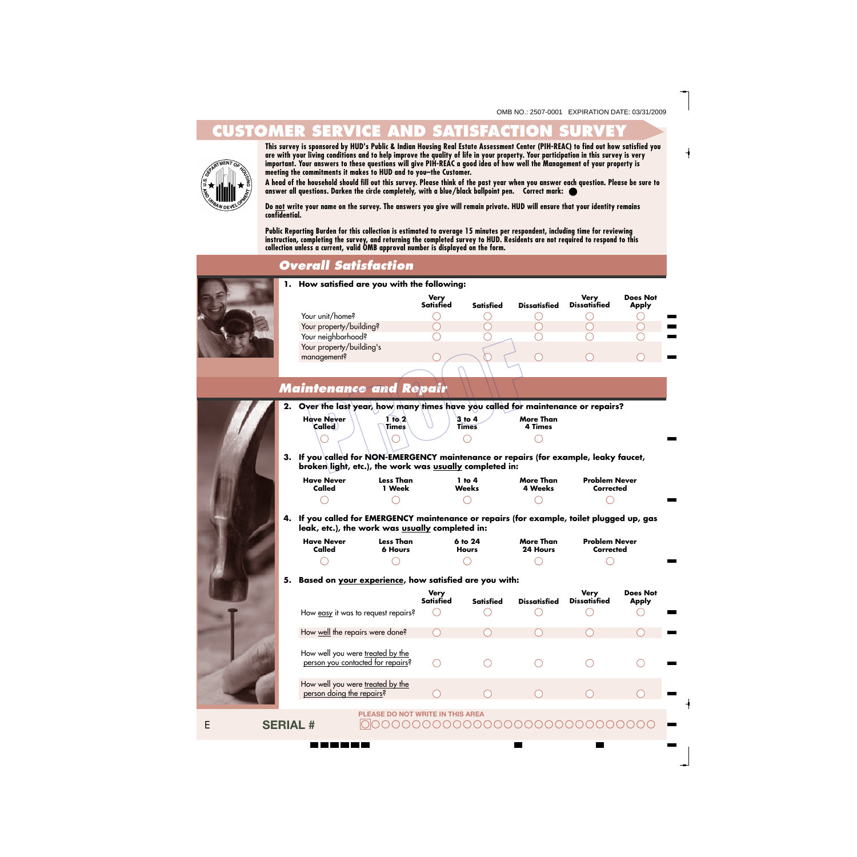## **CUSTOMER SERVICE AND SATISFACTION SURVEY**



**This survey is sponsored by HUD's Public & Indian Housing Real Estate Assessment Center (PIH-REAC) to find out how satisfied you are with your living conditions and to help improve the quality of life in your property. Your participation in this survey is very important. Your answers to these questions will give PIH-REAC a good idea of how well the Management of your property is meeting the commitments it makes to HUD and to you–the Customer.**

**A head of the household should fill out this survey. Please think of the past year when you answer each question. Please be sure to answer all questions. Darken the circle completely, with a blue/black ballpoint pen. Correct mark:**

 **Do not write your name on the survey. The answers you give will remain private. HUD will ensure that your identity remains confidential.**

**Public Reporting Burden for this collection is estimated to average 15 minutes per respondent, including time for reviewing instruction, completing the survey, and returning the completed survey to HUD. Residents are not required to respond to this collection unless a current, valid OMB approval number is displayed on the form.** 

#### *Overall Satisfaction*

**1. How satisfied are you with the following: Very**<br>Satisfied **Very Does Not Satisfied Satisfied Dissatisfied Dissatisfied Apply** Your unit/home?  $\bigcirc$ Your property/building? Your neighborhood? ◯ ⊂ Your property/building's management? *Maintenance and Repair* **2. Over the last year, how many times have you called for maintenance or repairs? Have Never 1 to 2 3 to 4 More Than Called 4 Times Times Times 3. If you called for NON-EMERGENCY maintenance or repairs (for example, leaky faucet, broken light, etc.), the work was usually completed in: Have Never Less Than 1 to 4 More Than Problem Never Called 1 Week Weeks 4 Weeks Corrected**  $\bigcirc$ **4. If you called for EMERGENCY maintenance or repairs (for example, toilet plugged up, gas leak, etc.), the work was usually completed in: Have Never Less Than 6 to 24 More Than Problem Never Called 6 Hours Hours 24 Hours Corrected 5. Based on your experience, how satisfied are you with: Very Very Does Not Satisfied Satisfied Dissatisfied Dissatisfied Apply**

|                                                                       | very<br><b>Satisfied</b> | <b>Satisfied</b> | <b>Dissatisfied</b> | verv<br><b>Dissatisfied</b> | <b>DOES NOT</b><br><b>Apply</b> |
|-----------------------------------------------------------------------|--------------------------|------------------|---------------------|-----------------------------|---------------------------------|
| How easy it was to request repairs?                                   |                          |                  |                     |                             |                                 |
| How well the repairs were done?                                       |                          |                  |                     |                             |                                 |
| How well you were treated by the<br>person you contacted for repairs? |                          |                  |                     |                             |                                 |
| How well you were treated by the<br>person doing the repairs?         |                          |                  |                     |                             |                                 |

**PLEASE DO NOT WRITE IN THIS AREA**

**SERIAL #**

1 M M M M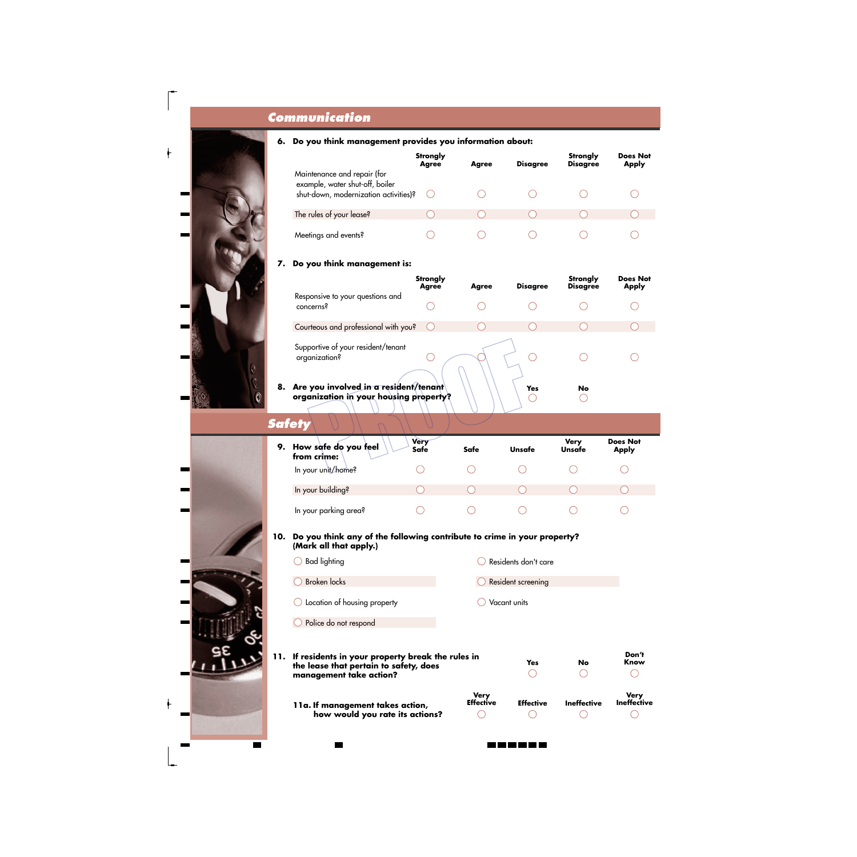## *Communication*



|                                                                | <b>Strongly</b><br><b>Agree</b> | <b>Agree</b> | <b>Disagree</b> | Strongly<br><b>Disagree</b> | <b>Does Not</b><br><b>Apply</b> |
|----------------------------------------------------------------|---------------------------------|--------------|-----------------|-----------------------------|---------------------------------|
| Maintenance and repair (for<br>example, water shut-off, boiler |                                 |              |                 |                             |                                 |
| shut-down, modernization activities)?                          |                                 |              |                 |                             |                                 |
| The rules of your lease?                                       |                                 |              |                 |                             |                                 |
| Meetings and events?                                           |                                 |              |                 |                             |                                 |

#### **7. Do you think management is:**

|    |                                                                                 | <b>Strongly</b><br><b>Agree</b> | Agree | <b>Disagree</b> | Strongly<br><b>Disagree</b> | <b>Does Not</b><br><b>Apply</b> |
|----|---------------------------------------------------------------------------------|---------------------------------|-------|-----------------|-----------------------------|---------------------------------|
|    | Responsive to your questions and<br>concerns?                                   |                                 |       |                 |                             |                                 |
|    | Courteous and professional with you?                                            |                                 |       |                 |                             |                                 |
|    | Supportive of your resident/tenant<br>organization?                             |                                 |       |                 |                             |                                 |
| 8. | Are you involved in a resident/tenant<br>organization in your housing property? |                                 |       | Yes             | No                          |                                 |

*Safety*

| 9. How safe do you feel<br>from crime: | <b>Very</b><br>Safe | Safe | Unsafe | <b>Very</b><br>Unsafe | <b>Does Not</b><br><b>Apply</b> |  |
|----------------------------------------|---------------------|------|--------|-----------------------|---------------------------------|--|
| In your unit/home?                     |                     |      |        |                       |                                 |  |
| In your building?                      |                     |      |        |                       |                                 |  |
| In your parking area?                  |                     |      |        |                       |                                 |  |

- **10. Do you think any of the following contribute to crime in your property? (Mark all that apply.)**
- $\bigcirc$  Bad lighting Residents don't care O Broken locks **C** Resident screening Vacant units Location of housing property Police do not respond **11. If residents in your property break the rules in Yes No the lease that pertain to safety, does** ∩  $\bigcirc$ **management take action? Very Effective Ineffective**

**Don't Know**

 $\bigcirc$ 

**Very Ineffective**

 $\bigcirc$ 

 $\bigcirc$ 

◯

**Effective11a. If management takes action, how would you rate its actions?**  $\subset$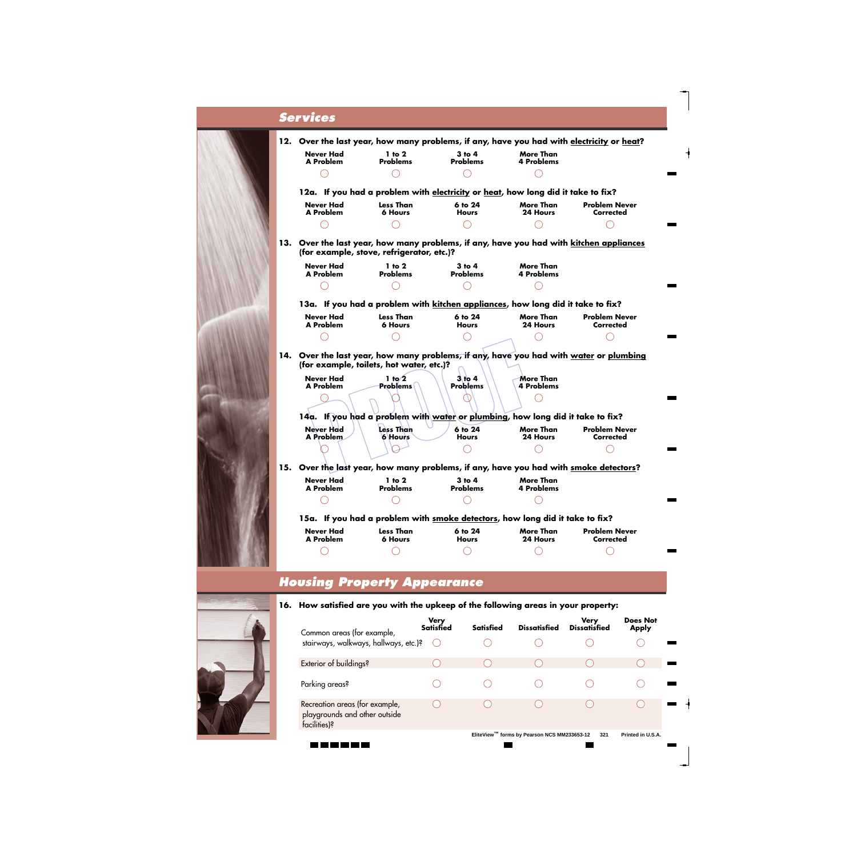## *Services*



#### *Housing Property Appearance*

**16. How satisfied are you with the upkeep of the following areas in your property:**

| Common areas (for example,                                                      | <b>Very</b><br><b>Satisfied</b> | <b>Satisfied</b> | <b>Dissatisfied</b> | <b>Very</b><br><b>Dissatisfied</b> | <b>Does Not</b><br><b>Apply</b> |
|---------------------------------------------------------------------------------|---------------------------------|------------------|---------------------|------------------------------------|---------------------------------|
| stairways, walkways, hallways, etc.)?                                           |                                 |                  |                     |                                    |                                 |
| Exterior of buildings?                                                          |                                 |                  |                     |                                    |                                 |
| Parking areas?                                                                  |                                 |                  |                     |                                    |                                 |
| Recreation areas (for example,<br>playgrounds and other outside<br>facilities)? |                                 |                  |                     |                                    |                                 |
|                                                                                 |                                 | TM -<br>_____    |                     |                                    |                                 |